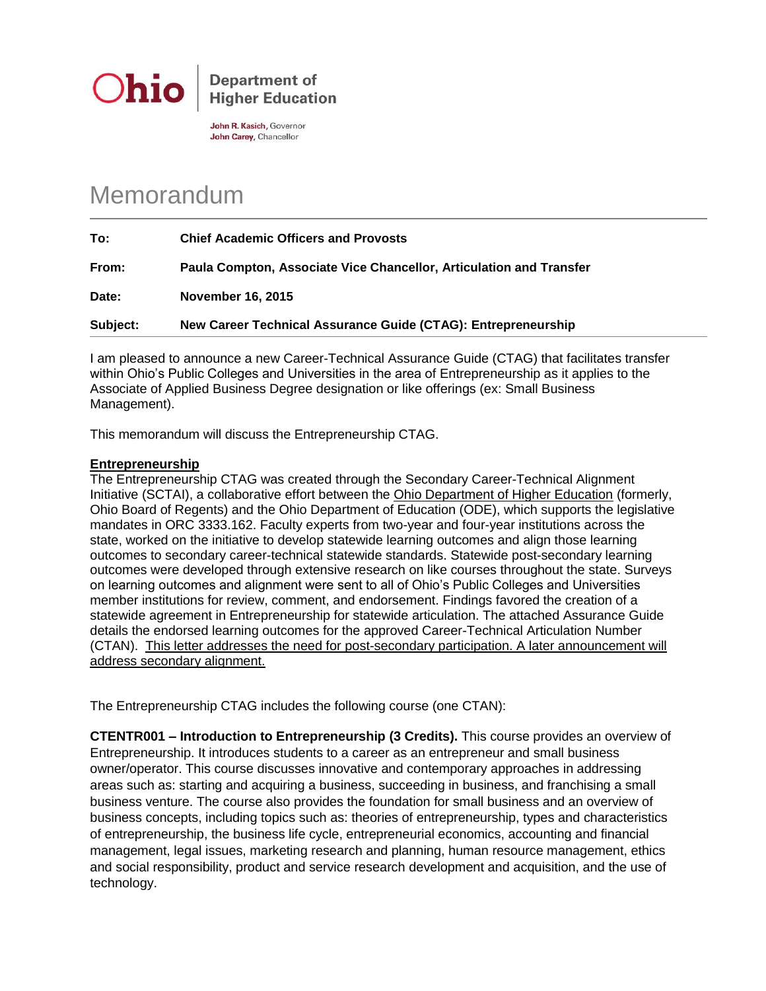

**Department of Higher Education** 

John R. Kasich, Governor John Carey, Chancellor

## Memorandum

| To:      | <b>Chief Academic Officers and Provosts</b>                         |
|----------|---------------------------------------------------------------------|
| From:    | Paula Compton, Associate Vice Chancellor, Articulation and Transfer |
| Date:    | <b>November 16, 2015</b>                                            |
| Subject: | New Career Technical Assurance Guide (CTAG): Entrepreneurship       |

I am pleased to announce a new Career-Technical Assurance Guide (CTAG) that facilitates transfer within Ohio's Public Colleges and Universities in the area of Entrepreneurship as it applies to the Associate of Applied Business Degree designation or like offerings (ex: Small Business Management).

This memorandum will discuss the Entrepreneurship CTAG.

## **Entrepreneurship**

The Entrepreneurship CTAG was created through the Secondary Career-Technical Alignment Initiative (SCTAI), a collaborative effort between the Ohio Department of Higher Education (formerly, Ohio Board of Regents) and the Ohio Department of Education (ODE), which supports the legislative mandates in ORC 3333.162. Faculty experts from two-year and four-year institutions across the state, worked on the initiative to develop statewide learning outcomes and align those learning outcomes to secondary career-technical statewide standards. Statewide post-secondary learning outcomes were developed through extensive research on like courses throughout the state. Surveys on learning outcomes and alignment were sent to all of Ohio's Public Colleges and Universities member institutions for review, comment, and endorsement. Findings favored the creation of a statewide agreement in Entrepreneurship for statewide articulation. The attached Assurance Guide details the endorsed learning outcomes for the approved Career-Technical Articulation Number (CTAN). This letter addresses the need for post-secondary participation. A later announcement will address secondary alignment.

The Entrepreneurship CTAG includes the following course (one CTAN):

**CTENTR001 – Introduction to Entrepreneurship (3 Credits).** This course provides an overview of Entrepreneurship. It introduces students to a career as an entrepreneur and small business owner/operator. This course discusses innovative and contemporary approaches in addressing areas such as: starting and acquiring a business, succeeding in business, and franchising a small business venture. The course also provides the foundation for small business and an overview of business concepts, including topics such as: theories of entrepreneurship, types and characteristics of entrepreneurship, the business life cycle, entrepreneurial economics, accounting and financial management, legal issues, marketing research and planning, human resource management, ethics and social responsibility, product and service research development and acquisition, and the use of technology.